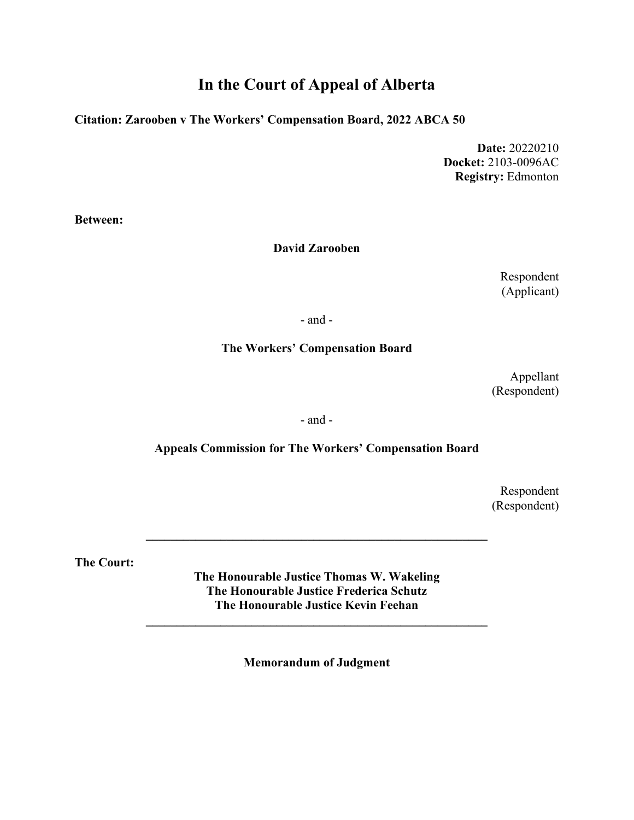# **In the Court of Appeal of Alberta**

#### **Citation: Zarooben v The Workers' Compensation Board, 2022 ABCA 50**

**Date:** 20220210 **Docket:** 2103-0096AC **Registry:** Edmonton

**Between:**

#### **David Zarooben**

Respondent (Applicant)

- and -

#### **The Workers' Compensation Board**

Appellant (Respondent)

- and -

#### **Appeals Commission for The Workers' Compensation Board**

Respondent (Respondent)

**The Court:**

**The Honourable Justice Thomas W. Wakeling The Honourable Justice Frederica Schutz The Honourable Justice Kevin Feehan**

**\_\_\_\_\_\_\_\_\_\_\_\_\_\_\_\_\_\_\_\_\_\_\_\_\_\_\_\_\_\_\_\_\_\_\_\_\_\_\_\_\_\_\_\_\_\_\_\_\_\_\_\_\_\_\_**

**\_\_\_\_\_\_\_\_\_\_\_\_\_\_\_\_\_\_\_\_\_\_\_\_\_\_\_\_\_\_\_\_\_\_\_\_\_\_\_\_\_\_\_\_\_\_\_\_\_\_\_\_\_\_\_**

**Memorandum of Judgment**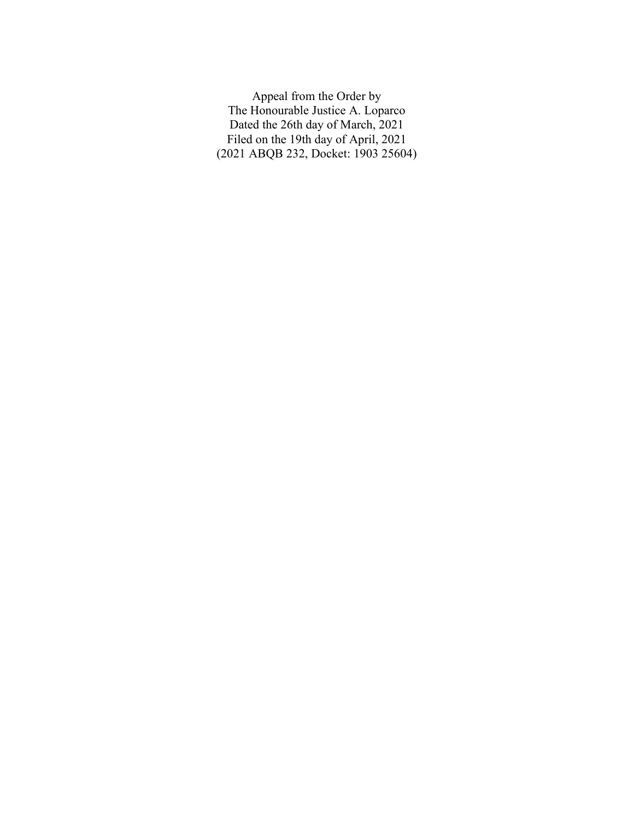Appeal from the Order by The Honourable Justice A. Loparco Dated the 26th day of March, 2021 Filed on the 19th day of April, 2021 (2021 ABQB 232, Docket: 1903 25604)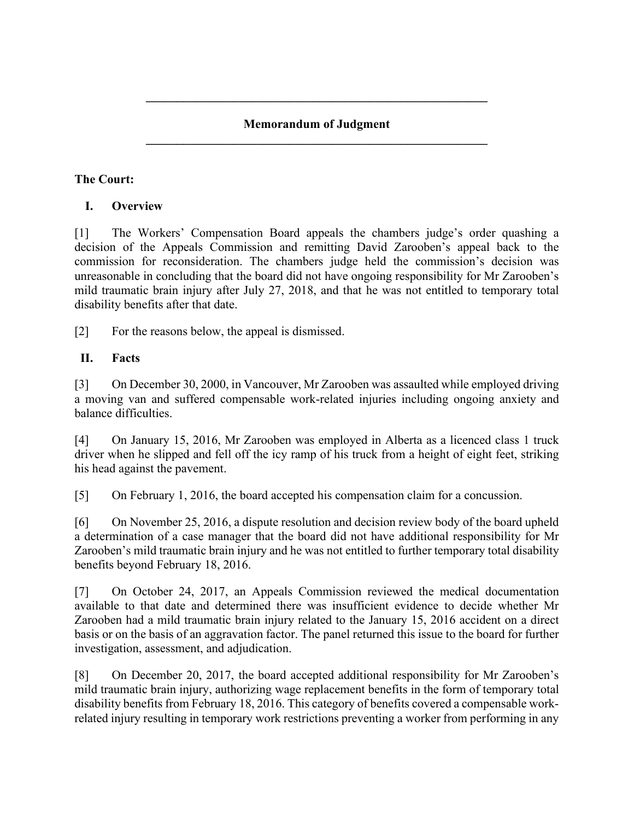# **Memorandum of Judgment \_\_\_\_\_\_\_\_\_\_\_\_\_\_\_\_\_\_\_\_\_\_\_\_\_\_\_\_\_\_\_\_\_\_\_\_\_\_\_\_\_\_\_\_\_\_\_\_\_\_\_\_\_\_\_**

**\_\_\_\_\_\_\_\_\_\_\_\_\_\_\_\_\_\_\_\_\_\_\_\_\_\_\_\_\_\_\_\_\_\_\_\_\_\_\_\_\_\_\_\_\_\_\_\_\_\_\_\_\_\_\_**

# **The Court:**

# **I. Overview**

[1] The Workers' Compensation Board appeals the chambers judge's order quashing a decision of the Appeals Commission and remitting David Zarooben's appeal back to the commission for reconsideration. The chambers judge held the commission's decision was unreasonable in concluding that the board did not have ongoing responsibility for Mr Zarooben's mild traumatic brain injury after July 27, 2018, and that he was not entitled to temporary total disability benefits after that date.

[2] For the reasons below, the appeal is dismissed.

# **II. Facts**

[3] On December 30, 2000, in Vancouver, Mr Zarooben was assaulted while employed driving a moving van and suffered compensable work-related injuries including ongoing anxiety and balance difficulties.

[4] On January 15, 2016, Mr Zarooben was employed in Alberta as a licenced class 1 truck driver when he slipped and fell off the icy ramp of his truck from a height of eight feet, striking his head against the pavement.

[5] On February 1, 2016, the board accepted his compensation claim for a concussion.

[6] On November 25, 2016, a dispute resolution and decision review body of the board upheld a determination of a case manager that the board did not have additional responsibility for Mr Zarooben's mild traumatic brain injury and he was not entitled to further temporary total disability benefits beyond February 18, 2016.

[7] On October 24, 2017, an Appeals Commission reviewed the medical documentation available to that date and determined there was insufficient evidence to decide whether Mr Zarooben had a mild traumatic brain injury related to the January 15, 2016 accident on a direct basis or on the basis of an aggravation factor. The panel returned this issue to the board for further investigation, assessment, and adjudication.

[8] On December 20, 2017, the board accepted additional responsibility for Mr Zarooben's mild traumatic brain injury, authorizing wage replacement benefits in the form of temporary total disability benefits from February 18, 2016. This category of benefits covered a compensable workrelated injury resulting in temporary work restrictions preventing a worker from performing in any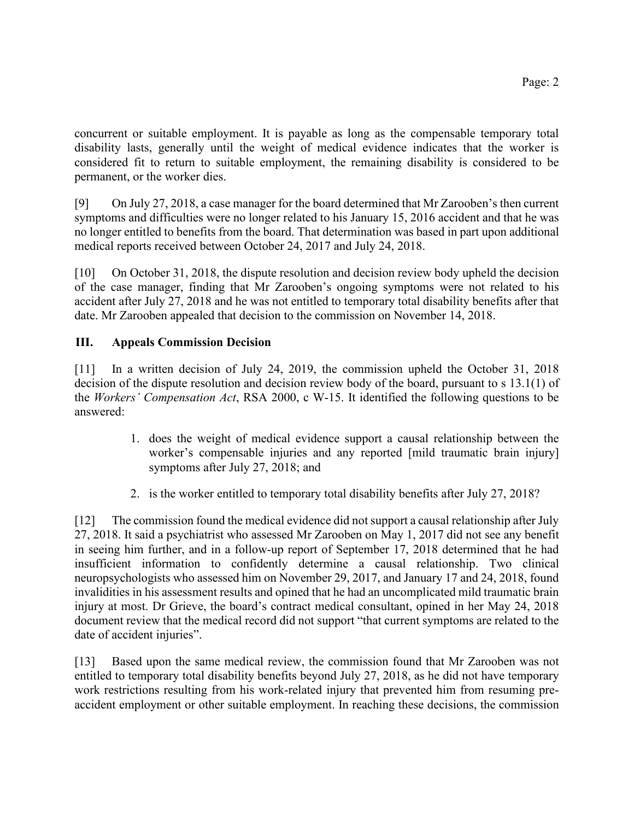concurrent or suitable employment. It is payable as long as the compensable temporary total disability lasts, generally until the weight of medical evidence indicates that the worker is considered fit to return to suitable employment, the remaining disability is considered to be permanent, or the worker dies.

[9] On July 27, 2018, a case manager for the board determined that Mr Zarooben's then current symptoms and difficulties were no longer related to his January 15, 2016 accident and that he was no longer entitled to benefits from the board. That determination was based in part upon additional medical reports received between October 24, 2017 and July 24, 2018.

[10] On October 31, 2018, the dispute resolution and decision review body upheld the decision of the case manager, finding that Mr Zarooben's ongoing symptoms were not related to his accident after July 27, 2018 and he was not entitled to temporary total disability benefits after that date. Mr Zarooben appealed that decision to the commission on November 14, 2018.

# **III. Appeals Commission Decision**

[11] In a written decision of July 24, 2019, the commission upheld the October 31, 2018 decision of the dispute resolution and decision review body of the board, pursuant to s 13.1(1) of the *Workers' Compensation Act*, RSA 2000, c W-15. It identified the following questions to be answered:

- 1. does the weight of medical evidence support a causal relationship between the worker's compensable injuries and any reported [mild traumatic brain injury] symptoms after July 27, 2018; and
- 2. is the worker entitled to temporary total disability benefits after July 27, 2018?

[12] The commission found the medical evidence did not support a causal relationship after July 27, 2018. It said a psychiatrist who assessed Mr Zarooben on May 1, 2017 did not see any benefit in seeing him further, and in a follow-up report of September 17, 2018 determined that he had insufficient information to confidently determine a causal relationship. Two clinical neuropsychologists who assessed him on November 29, 2017, and January 17 and 24, 2018, found invalidities in his assessment results and opined that he had an uncomplicated mild traumatic brain injury at most. Dr Grieve, the board's contract medical consultant, opined in her May 24, 2018 document review that the medical record did not support "that current symptoms are related to the date of accident injuries".

[13] Based upon the same medical review, the commission found that Mr Zarooben was not entitled to temporary total disability benefits beyond July 27, 2018, as he did not have temporary work restrictions resulting from his work-related injury that prevented him from resuming preaccident employment or other suitable employment. In reaching these decisions, the commission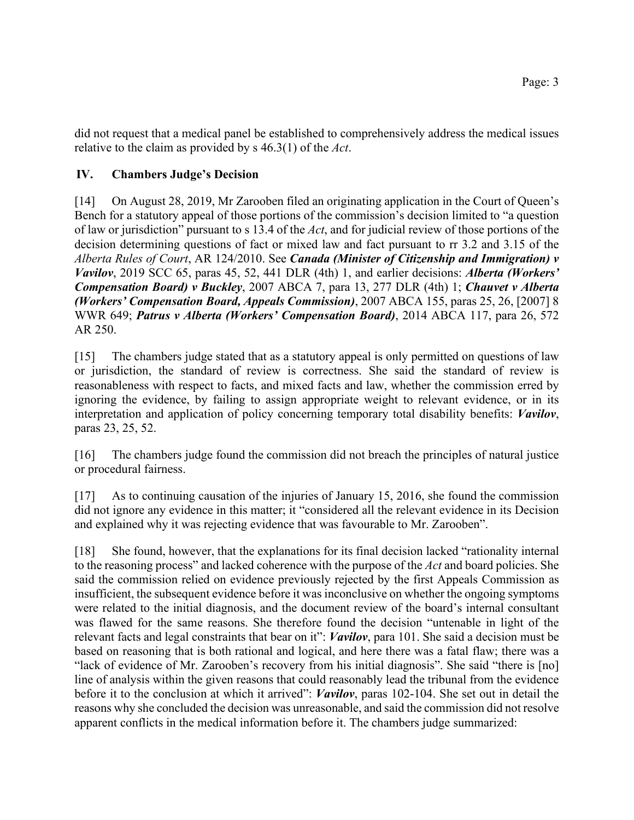did not request that a medical panel be established to comprehensively address the medical issues relative to the claim as provided by s 46.3(1) of the *Act*.

# **IV. Chambers Judge's Decision**

[14] On August 28, 2019, Mr Zarooben filed an originating application in the Court of Queen's Bench for a statutory appeal of those portions of the commission's decision limited to "a question of law or jurisdiction" pursuant to s 13.4 of the *Act*, and for judicial review of those portions of the decision determining questions of fact or mixed law and fact pursuant to rr 3.2 and 3.15 of the *Alberta Rules of Court*, AR 124/2010. See *Canada (Minister of Citizenship and Immigration) v Vavilov*, 2019 SCC 65, paras 45, 52, 441 DLR (4th) 1, and earlier decisions: *Alberta (Workers' Compensation Board) v Buckley*, 2007 ABCA 7, para 13, 277 DLR (4th) 1; *Chauvet v Alberta (Workers' Compensation Board, Appeals Commission)*, 2007 ABCA 155, paras 25, 26, [2007] 8 WWR 649; *Patrus v Alberta (Workers' Compensation Board)*, 2014 ABCA 117, para 26, 572 AR 250.

[15] The chambers judge stated that as a statutory appeal is only permitted on questions of law or jurisdiction, the standard of review is correctness. She said the standard of review is reasonableness with respect to facts, and mixed facts and law, whether the commission erred by ignoring the evidence, by failing to assign appropriate weight to relevant evidence, or in its interpretation and application of policy concerning temporary total disability benefits: *Vavilov*, paras 23, 25, 52.

[16] The chambers judge found the commission did not breach the principles of natural justice or procedural fairness.

[17] As to continuing causation of the injuries of January 15, 2016, she found the commission did not ignore any evidence in this matter; it "considered all the relevant evidence in its Decision and explained why it was rejecting evidence that was favourable to Mr. Zarooben".

[18] She found, however, that the explanations for its final decision lacked "rationality internal to the reasoning process" and lacked coherence with the purpose of the *Act* and board policies. She said the commission relied on evidence previously rejected by the first Appeals Commission as insufficient, the subsequent evidence before it was inconclusive on whether the ongoing symptoms were related to the initial diagnosis, and the document review of the board's internal consultant was flawed for the same reasons. She therefore found the decision "untenable in light of the relevant facts and legal constraints that bear on it": *Vavilov*, para 101. She said a decision must be based on reasoning that is both rational and logical, and here there was a fatal flaw; there was a "lack of evidence of Mr. Zarooben's recovery from his initial diagnosis". She said "there is [no] line of analysis within the given reasons that could reasonably lead the tribunal from the evidence before it to the conclusion at which it arrived": *Vavilov*, paras 102-104. She set out in detail the reasons why she concluded the decision was unreasonable, and said the commission did not resolve apparent conflicts in the medical information before it. The chambers judge summarized: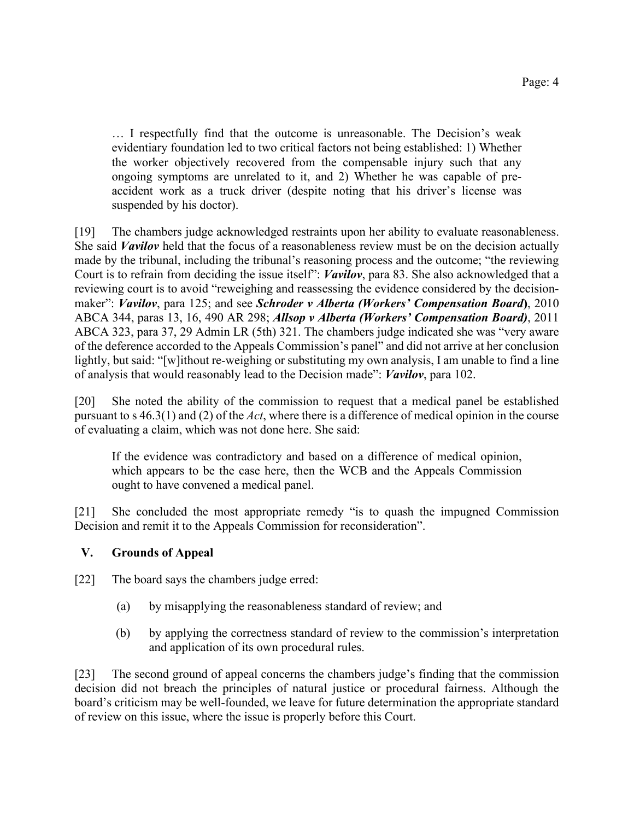… I respectfully find that the outcome is unreasonable. The Decision's weak evidentiary foundation led to two critical factors not being established: 1) Whether the worker objectively recovered from the compensable injury such that any ongoing symptoms are unrelated to it, and 2) Whether he was capable of preaccident work as a truck driver (despite noting that his driver's license was suspended by his doctor).

[19] The chambers judge acknowledged restraints upon her ability to evaluate reasonableness. She said *Vavilov* held that the focus of a reasonableness review must be on the decision actually made by the tribunal, including the tribunal's reasoning process and the outcome; "the reviewing Court is to refrain from deciding the issue itself": *Vavilov*, para 83. She also acknowledged that a reviewing court is to avoid "reweighing and reassessing the evidence considered by the decisionmaker": *Vavilov*, para 125; and see *Schroder v Alberta (Workers' Compensation Board***)**, 2010 ABCA 344, paras 13, 16, 490 AR 298; *Allsop v Alberta (Workers' Compensation Board)*, 2011 ABCA 323, para 37, 29 Admin LR (5th) 321. The chambers judge indicated she was "very aware of the deference accorded to the Appeals Commission's panel" and did not arrive at her conclusion lightly, but said: "[w]ithout re-weighing or substituting my own analysis, I am unable to find a line of analysis that would reasonably lead to the Decision made": *Vavilov*, para 102.

[20] She noted the ability of the commission to request that a medical panel be established pursuant to s 46.3(1) and (2) of the *Act*, where there is a difference of medical opinion in the course of evaluating a claim, which was not done here. She said:

If the evidence was contradictory and based on a difference of medical opinion, which appears to be the case here, then the WCB and the Appeals Commission ought to have convened a medical panel.

[21] She concluded the most appropriate remedy "is to quash the impugned Commission Decision and remit it to the Appeals Commission for reconsideration".

# **V. Grounds of Appeal**

- [22] The board says the chambers judge erred:
	- (a) by misapplying the reasonableness standard of review; and
	- (b) by applying the correctness standard of review to the commission's interpretation and application of its own procedural rules.

[23] The second ground of appeal concerns the chambers judge's finding that the commission decision did not breach the principles of natural justice or procedural fairness. Although the board's criticism may be well-founded, we leave for future determination the appropriate standard of review on this issue, where the issue is properly before this Court.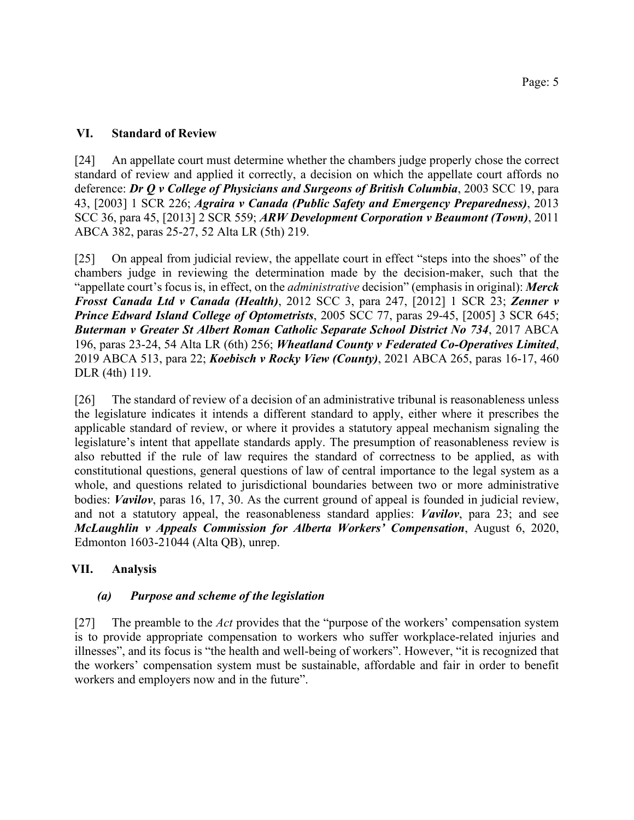#### **VI. Standard of Review**

[24] An appellate court must determine whether the chambers judge properly chose the correct standard of review and applied it correctly, a decision on which the appellate court affords no deference: *Dr Q v College of Physicians and Surgeons of British Columbia*, 2003 SCC 19, para 43, [2003] 1 SCR 226; *Agraira v Canada (Public Safety and Emergency Preparedness)*, 2013 SCC 36, para 45, [2013] 2 SCR 559; *ARW Development Corporation v Beaumont (Town)*, 2011 ABCA 382, paras 25-27, 52 Alta LR (5th) 219.

[25] On appeal from judicial review, the appellate court in effect "steps into the shoes" of the chambers judge in reviewing the determination made by the decision-maker, such that the "appellate court's focus is, in effect, on the *administrative* decision" (emphasis in original): *Merck Frosst Canada Ltd v Canada (Health)*, 2012 SCC 3, para 247, [2012] 1 SCR 23; *Zenner v Prince Edward Island College of Optometrists*, 2005 SCC 77, paras 29-45, [2005] 3 SCR 645; *Buterman v Greater St Albert Roman Catholic Separate School District No 734*, 2017 ABCA 196, paras 23-24, 54 Alta LR (6th) 256; *Wheatland County v Federated Co-Operatives Limited*, 2019 ABCA 513, para 22; *Koebisch v Rocky View (County)*, 2021 ABCA 265, paras 16-17, 460 DLR (4th) 119.

[26] The standard of review of a decision of an administrative tribunal is reasonableness unless the legislature indicates it intends a different standard to apply, either where it prescribes the applicable standard of review, or where it provides a statutory appeal mechanism signaling the legislature's intent that appellate standards apply. The presumption of reasonableness review is also rebutted if the rule of law requires the standard of correctness to be applied, as with constitutional questions, general questions of law of central importance to the legal system as a whole, and questions related to jurisdictional boundaries between two or more administrative bodies: *Vavilov*, paras 16, 17, 30. As the current ground of appeal is founded in judicial review, and not a statutory appeal, the reasonableness standard applies: *Vavilov*, para 23; and see *McLaughlin v Appeals Commission for Alberta Workers' Compensation*, August 6, 2020, Edmonton 1603-21044 (Alta QB), unrep.

# **VII. Analysis**

#### *(a) Purpose and scheme of the legislation*

[27] The preamble to the *Act* provides that the "purpose of the workers' compensation system is to provide appropriate compensation to workers who suffer workplace-related injuries and illnesses", and its focus is "the health and well-being of workers". However, "it is recognized that the workers' compensation system must be sustainable, affordable and fair in order to benefit workers and employers now and in the future".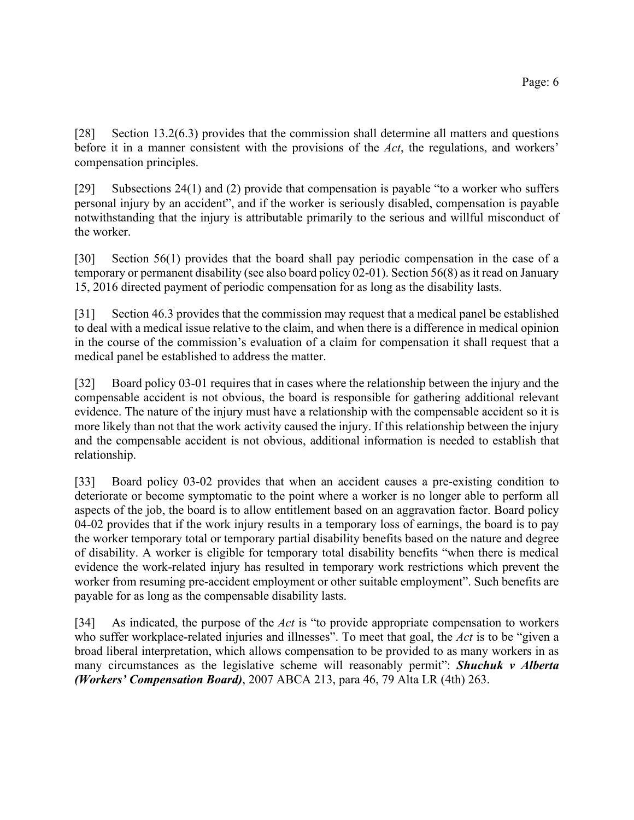[28] Section 13.2(6.3) provides that the commission shall determine all matters and questions before it in a manner consistent with the provisions of the *Act*, the regulations, and workers' compensation principles.

[29] Subsections 24(1) and (2) provide that compensation is payable "to a worker who suffers personal injury by an accident", and if the worker is seriously disabled, compensation is payable notwithstanding that the injury is attributable primarily to the serious and willful misconduct of the worker.

[30] Section 56(1) provides that the board shall pay periodic compensation in the case of a temporary or permanent disability (see also board policy 02-01). Section 56(8) as it read on January 15, 2016 directed payment of periodic compensation for as long as the disability lasts.

[31] Section 46.3 provides that the commission may request that a medical panel be established to deal with a medical issue relative to the claim, and when there is a difference in medical opinion in the course of the commission's evaluation of a claim for compensation it shall request that a medical panel be established to address the matter.

[32] Board policy 03-01 requires that in cases where the relationship between the injury and the compensable accident is not obvious, the board is responsible for gathering additional relevant evidence. The nature of the injury must have a relationship with the compensable accident so it is more likely than not that the work activity caused the injury. If this relationship between the injury and the compensable accident is not obvious, additional information is needed to establish that relationship.

[33] Board policy 03-02 provides that when an accident causes a pre-existing condition to deteriorate or become symptomatic to the point where a worker is no longer able to perform all aspects of the job, the board is to allow entitlement based on an aggravation factor. Board policy 04-02 provides that if the work injury results in a temporary loss of earnings, the board is to pay the worker temporary total or temporary partial disability benefits based on the nature and degree of disability. A worker is eligible for temporary total disability benefits "when there is medical evidence the work-related injury has resulted in temporary work restrictions which prevent the worker from resuming pre-accident employment or other suitable employment". Such benefits are payable for as long as the compensable disability lasts.

[34] As indicated, the purpose of the *Act* is "to provide appropriate compensation to workers who suffer workplace-related injuries and illnesses". To meet that goal, the *Act* is to be "given a broad liberal interpretation, which allows compensation to be provided to as many workers in as many circumstances as the legislative scheme will reasonably permit": *Shuchuk v Alberta (Workers' Compensation Board)*, 2007 ABCA 213, para 46, 79 Alta LR (4th) 263.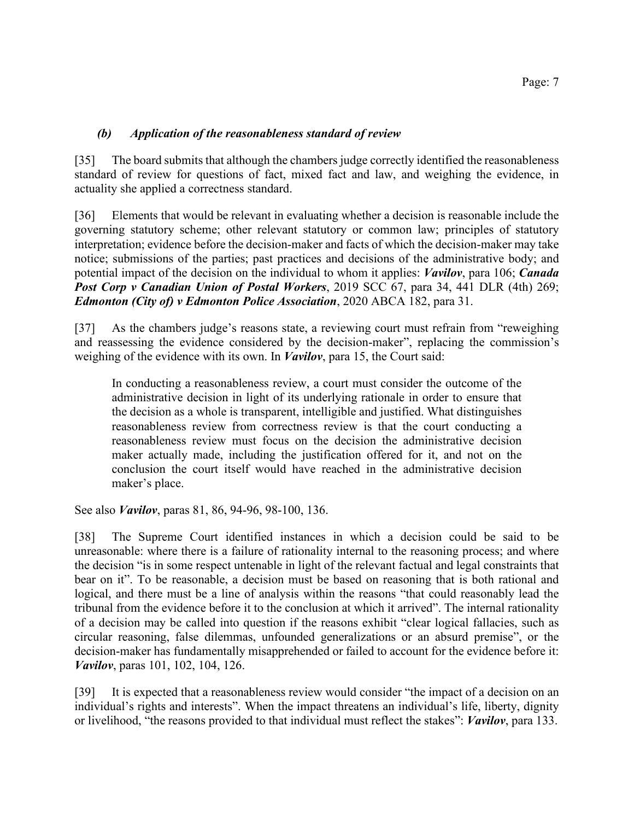#### *(b) Application of the reasonableness standard of review*

[35] The board submits that although the chambers judge correctly identified the reasonableness standard of review for questions of fact, mixed fact and law, and weighing the evidence, in actuality she applied a correctness standard.

[36] Elements that would be relevant in evaluating whether a decision is reasonable include the governing statutory scheme; other relevant statutory or common law; principles of statutory interpretation; evidence before the decision-maker and facts of which the decision-maker may take notice; submissions of the parties; past practices and decisions of the administrative body; and potential impact of the decision on the individual to whom it applies: *Vavilov*, para 106; *Canada Post Corp v Canadian Union of Postal Workers*, 2019 SCC 67, para 34, 441 DLR (4th) 269; *Edmonton (City of) v Edmonton Police Association*, 2020 ABCA 182, para 31.

[37] As the chambers judge's reasons state, a reviewing court must refrain from "reweighing and reassessing the evidence considered by the decision-maker", replacing the commission's weighing of the evidence with its own. In *Vavilov*, para 15, the Court said:

In conducting a reasonableness review, a court must consider the outcome of the administrative decision in light of its underlying rationale in order to ensure that the decision as a whole is transparent, intelligible and justified. What distinguishes reasonableness review from correctness review is that the court conducting a reasonableness review must focus on the decision the administrative decision maker actually made, including the justification offered for it, and not on the conclusion the court itself would have reached in the administrative decision maker's place.

See also *Vavilov*, paras 81, 86, 94-96, 98-100, 136.

[38] The Supreme Court identified instances in which a decision could be said to be unreasonable: where there is a failure of rationality internal to the reasoning process; and where the decision "is in some respect untenable in light of the relevant factual and legal constraints that bear on it". To be reasonable, a decision must be based on reasoning that is both rational and logical, and there must be a line of analysis within the reasons "that could reasonably lead the tribunal from the evidence before it to the conclusion at which it arrived". The internal rationality of a decision may be called into question if the reasons exhibit "clear logical fallacies, such as circular reasoning, false dilemmas, unfounded generalizations or an absurd premise", or the decision-maker has fundamentally misapprehended or failed to account for the evidence before it: *Vavilov*, paras 101, 102, 104, 126.

[39] It is expected that a reasonableness review would consider "the impact of a decision on an individual's rights and interests". When the impact threatens an individual's life, liberty, dignity or livelihood, "the reasons provided to that individual must reflect the stakes": *Vavilov*, para 133.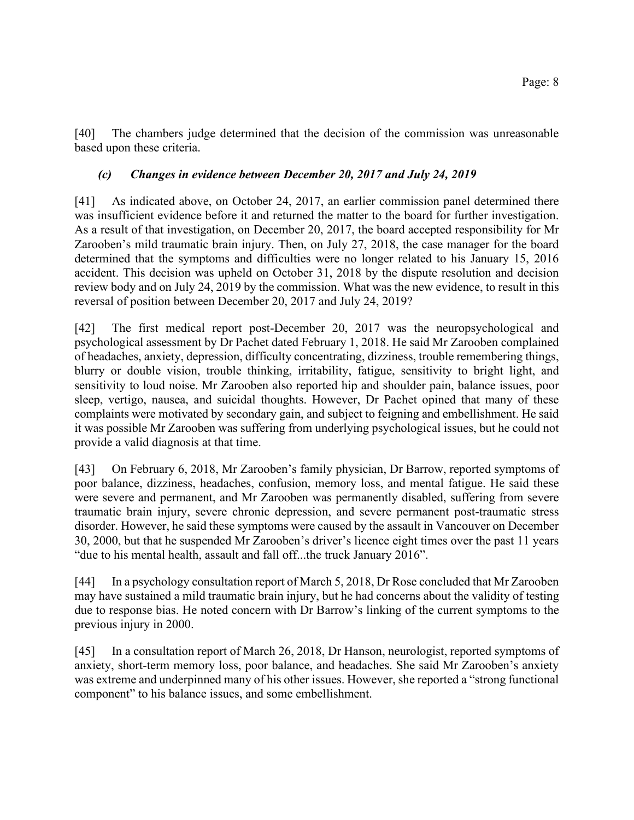[40] The chambers judge determined that the decision of the commission was unreasonable based upon these criteria.

# *(c) Changes in evidence between December 20, 2017 and July 24, 2019*

[41] As indicated above, on October 24, 2017, an earlier commission panel determined there was insufficient evidence before it and returned the matter to the board for further investigation. As a result of that investigation, on December 20, 2017, the board accepted responsibility for Mr Zarooben's mild traumatic brain injury. Then, on July 27, 2018, the case manager for the board determined that the symptoms and difficulties were no longer related to his January 15, 2016 accident. This decision was upheld on October 31, 2018 by the dispute resolution and decision review body and on July 24, 2019 by the commission. What was the new evidence, to result in this reversal of position between December 20, 2017 and July 24, 2019?

[42] The first medical report post-December 20, 2017 was the neuropsychological and psychological assessment by Dr Pachet dated February 1, 2018. He said Mr Zarooben complained of headaches, anxiety, depression, difficulty concentrating, dizziness, trouble remembering things, blurry or double vision, trouble thinking, irritability, fatigue, sensitivity to bright light, and sensitivity to loud noise. Mr Zarooben also reported hip and shoulder pain, balance issues, poor sleep, vertigo, nausea, and suicidal thoughts. However, Dr Pachet opined that many of these complaints were motivated by secondary gain, and subject to feigning and embellishment. He said it was possible Mr Zarooben was suffering from underlying psychological issues, but he could not provide a valid diagnosis at that time.

[43] On February 6, 2018, Mr Zarooben's family physician, Dr Barrow, reported symptoms of poor balance, dizziness, headaches, confusion, memory loss, and mental fatigue. He said these were severe and permanent, and Mr Zarooben was permanently disabled, suffering from severe traumatic brain injury, severe chronic depression, and severe permanent post-traumatic stress disorder. However, he said these symptoms were caused by the assault in Vancouver on December 30, 2000, but that he suspended Mr Zarooben's driver's licence eight times over the past 11 years "due to his mental health, assault and fall off...the truck January 2016".

[44] In a psychology consultation report of March 5, 2018, Dr Rose concluded that Mr Zarooben may have sustained a mild traumatic brain injury, but he had concerns about the validity of testing due to response bias. He noted concern with Dr Barrow's linking of the current symptoms to the previous injury in 2000.

[45] In a consultation report of March 26, 2018, Dr Hanson, neurologist, reported symptoms of anxiety, short-term memory loss, poor balance, and headaches. She said Mr Zarooben's anxiety was extreme and underpinned many of his other issues. However, she reported a "strong functional component" to his balance issues, and some embellishment.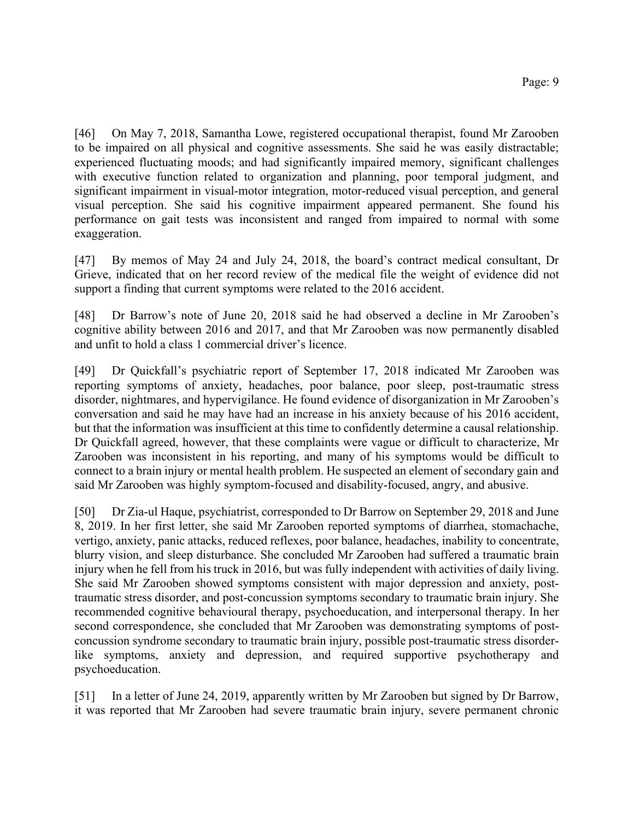[46] On May 7, 2018, Samantha Lowe, registered occupational therapist, found Mr Zarooben to be impaired on all physical and cognitive assessments. She said he was easily distractable; experienced fluctuating moods; and had significantly impaired memory, significant challenges with executive function related to organization and planning, poor temporal judgment, and significant impairment in visual-motor integration, motor-reduced visual perception, and general visual perception. She said his cognitive impairment appeared permanent. She found his performance on gait tests was inconsistent and ranged from impaired to normal with some exaggeration.

[47] By memos of May 24 and July 24, 2018, the board's contract medical consultant, Dr Grieve, indicated that on her record review of the medical file the weight of evidence did not support a finding that current symptoms were related to the 2016 accident.

[48] Dr Barrow's note of June 20, 2018 said he had observed a decline in Mr Zarooben's cognitive ability between 2016 and 2017, and that Mr Zarooben was now permanently disabled and unfit to hold a class 1 commercial driver's licence.

[49] Dr Quickfall's psychiatric report of September 17, 2018 indicated Mr Zarooben was reporting symptoms of anxiety, headaches, poor balance, poor sleep, post-traumatic stress disorder, nightmares, and hypervigilance. He found evidence of disorganization in Mr Zarooben's conversation and said he may have had an increase in his anxiety because of his 2016 accident, but that the information was insufficient at this time to confidently determine a causal relationship. Dr Quickfall agreed, however, that these complaints were vague or difficult to characterize, Mr Zarooben was inconsistent in his reporting, and many of his symptoms would be difficult to connect to a brain injury or mental health problem. He suspected an element of secondary gain and said Mr Zarooben was highly symptom-focused and disability-focused, angry, and abusive.

[50] Dr Zia-ul Haque, psychiatrist, corresponded to Dr Barrow on September 29, 2018 and June 8, 2019. In her first letter, she said Mr Zarooben reported symptoms of diarrhea, stomachache, vertigo, anxiety, panic attacks, reduced reflexes, poor balance, headaches, inability to concentrate, blurry vision, and sleep disturbance. She concluded Mr Zarooben had suffered a traumatic brain injury when he fell from his truck in 2016, but was fully independent with activities of daily living. She said Mr Zarooben showed symptoms consistent with major depression and anxiety, posttraumatic stress disorder, and post-concussion symptoms secondary to traumatic brain injury. She recommended cognitive behavioural therapy, psychoeducation, and interpersonal therapy. In her second correspondence, she concluded that Mr Zarooben was demonstrating symptoms of postconcussion syndrome secondary to traumatic brain injury, possible post-traumatic stress disorderlike symptoms, anxiety and depression, and required supportive psychotherapy and psychoeducation.

[51] In a letter of June 24, 2019, apparently written by Mr Zarooben but signed by Dr Barrow, it was reported that Mr Zarooben had severe traumatic brain injury, severe permanent chronic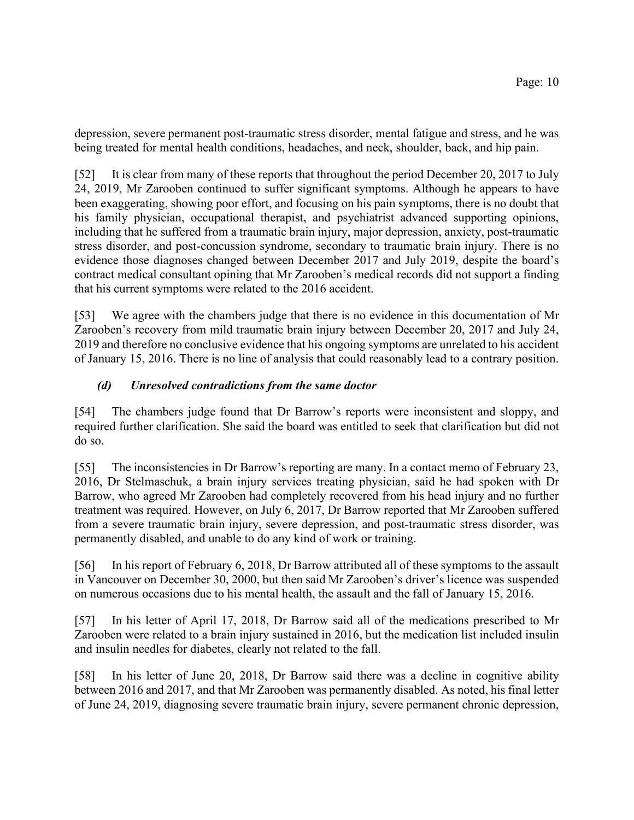depression, severe permanent post-traumatic stress disorder, mental fatigue and stress, and he was being treated for mental health conditions, headaches, and neck, shoulder, back, and hip pain.

[52] It is clear from many of these reports that throughout the period December 20, 2017 to July 24, 2019, Mr Zarooben continued to suffer significant symptoms. Although he appears to have been exaggerating, showing poor effort, and focusing on his pain symptoms, there is no doubt that his family physician, occupational therapist, and psychiatrist advanced supporting opinions, including that he suffered from a traumatic brain injury, major depression, anxiety, post-traumatic stress disorder, and post-concussion syndrome, secondary to traumatic brain injury. There is no evidence those diagnoses changed between December 2017 and July 2019, despite the board's contract medical consultant opining that Mr Zarooben's medical records did not support a finding that his current symptoms were related to the 2016 accident.

[53] We agree with the chambers judge that there is no evidence in this documentation of Mr Zarooben's recovery from mild traumatic brain injury between December 20, 2017 and July 24, 2019 and therefore no conclusive evidence that his ongoing symptoms are unrelated to his accident of January 15, 2016. There is no line of analysis that could reasonably lead to a contrary position.

# *(d) Unresolved contradictions from the same doctor*

[54] The chambers judge found that Dr Barrow's reports were inconsistent and sloppy, and required further clarification. She said the board was entitled to seek that clarification but did not do so.

[55] The inconsistencies in Dr Barrow's reporting are many. In a contact memo of February 23, 2016, Dr Stelmaschuk, a brain injury services treating physician, said he had spoken with Dr Barrow, who agreed Mr Zarooben had completely recovered from his head injury and no further treatment was required. However, on July 6, 2017, Dr Barrow reported that Mr Zarooben suffered from a severe traumatic brain injury, severe depression, and post-traumatic stress disorder, was permanently disabled, and unable to do any kind of work or training.

[56] In his report of February 6, 2018, Dr Barrow attributed all of these symptoms to the assault in Vancouver on December 30, 2000, but then said Mr Zarooben's driver's licence was suspended on numerous occasions due to his mental health, the assault and the fall of January 15, 2016.

[57] In his letter of April 17, 2018, Dr Barrow said all of the medications prescribed to Mr Zarooben were related to a brain injury sustained in 2016, but the medication list included insulin and insulin needles for diabetes, clearly not related to the fall.

[58] In his letter of June 20, 2018, Dr Barrow said there was a decline in cognitive ability between 2016 and 2017, and that Mr Zarooben was permanently disabled. As noted, his final letter of June 24, 2019, diagnosing severe traumatic brain injury, severe permanent chronic depression,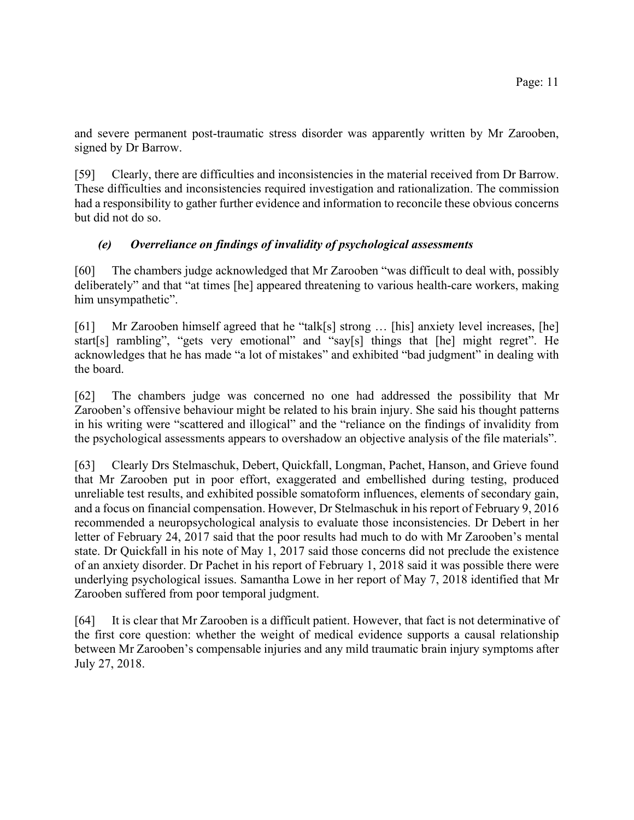and severe permanent post-traumatic stress disorder was apparently written by Mr Zarooben, signed by Dr Barrow.

[59] Clearly, there are difficulties and inconsistencies in the material received from Dr Barrow. These difficulties and inconsistencies required investigation and rationalization. The commission had a responsibility to gather further evidence and information to reconcile these obvious concerns but did not do so.

# *(e) Overreliance on findings of invalidity of psychological assessments*

[60] The chambers judge acknowledged that Mr Zarooben "was difficult to deal with, possibly deliberately" and that "at times [he] appeared threatening to various health-care workers, making him unsympathetic".

[61] Mr Zarooben himself agreed that he "talk[s] strong ... [his] anxiety level increases, [he] start[s] rambling", "gets very emotional" and "say[s] things that [he] might regret". He acknowledges that he has made "a lot of mistakes" and exhibited "bad judgment" in dealing with the board.

[62] The chambers judge was concerned no one had addressed the possibility that Mr Zarooben's offensive behaviour might be related to his brain injury. She said his thought patterns in his writing were "scattered and illogical" and the "reliance on the findings of invalidity from the psychological assessments appears to overshadow an objective analysis of the file materials".

[63] Clearly Drs Stelmaschuk, Debert, Quickfall, Longman, Pachet, Hanson, and Grieve found that Mr Zarooben put in poor effort, exaggerated and embellished during testing, produced unreliable test results, and exhibited possible somatoform influences, elements of secondary gain, and a focus on financial compensation. However, Dr Stelmaschuk in his report of February 9, 2016 recommended a neuropsychological analysis to evaluate those inconsistencies. Dr Debert in her letter of February 24, 2017 said that the poor results had much to do with Mr Zarooben's mental state. Dr Quickfall in his note of May 1, 2017 said those concerns did not preclude the existence of an anxiety disorder. Dr Pachet in his report of February 1, 2018 said it was possible there were underlying psychological issues. Samantha Lowe in her report of May 7, 2018 identified that Mr Zarooben suffered from poor temporal judgment.

[64] It is clear that Mr Zarooben is a difficult patient. However, that fact is not determinative of the first core question: whether the weight of medical evidence supports a causal relationship between Mr Zarooben's compensable injuries and any mild traumatic brain injury symptoms after July 27, 2018.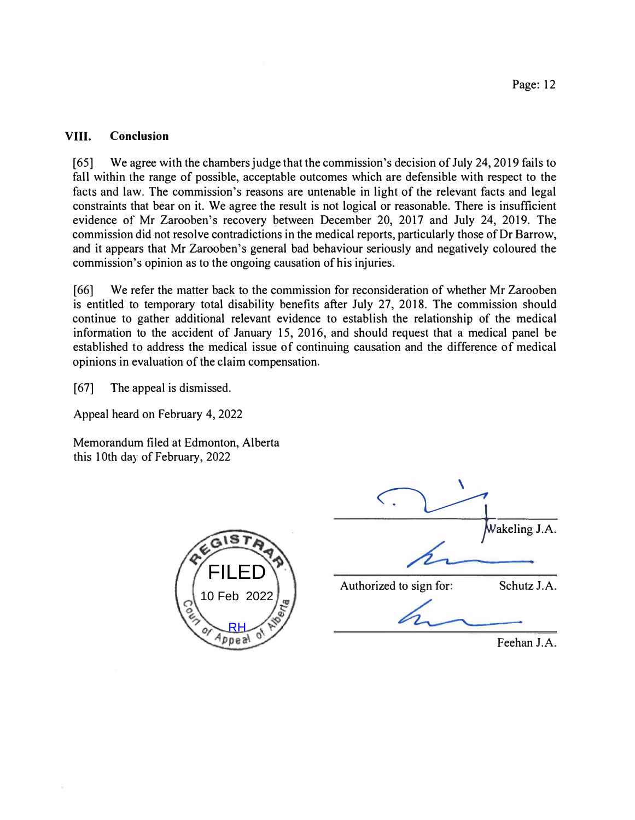#### **VIII. Conclusion**

[65] We agree with the chambers judge that the commission's decision of July 24, 2019 fails to fall within the range of possible, acceptable outcomes which are defensible with respect to the facts and law. The commission's reasons are untenable in light of the relevant facts and legal constraints that bear on it. We agree the result is not logical or reasonable. There is insufficient evidence of Mr Zarooben's recovery between December 20, 2017 and July 24, 2019. The commission did not resolve contradictions in the medical reports, particularly those of Dr Barrow, and it appears that Mr Zarooben's general bad behaviour seriously and negatively coloured the commission's opinion as to the ongoing causation of his injuries.

[66] We refer the matter back to the commission for reconsideration of whether Mr Zarooben is entitled to temporary total disability benefits after July 27, 2018. The commission should continue to gather additional relevant evidence to establish the relationship of the medical information to the accident of January 15, 2016, and should request that a medical panel be established to address the medical issue of continuing causation and the difference of medical opinions in evaluation of the claim compensation.

[67] The appeal is dismissed.

Appeal heard on February 4, 2022

Memorandum filed at Edmonton, Alberta this 10th day of February, 2022



|                         | Wakeling J.A. |  |
|-------------------------|---------------|--|
|                         |               |  |
| Authorized to sign for: | Schutz J.A.   |  |

Feehan J.A.